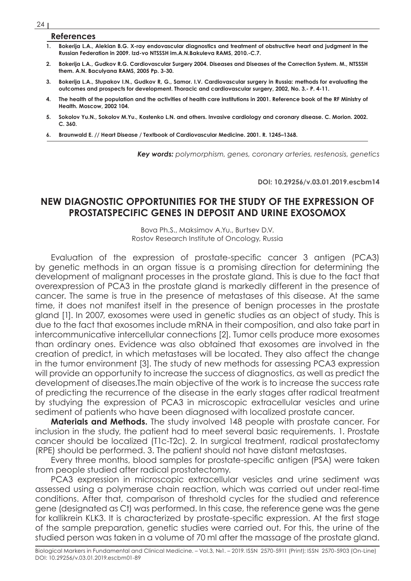#### $241$

#### **References**

- **1. Bokerija L.A., Alekian B.G. X-ray endovascular diagnostics and treatment of obstructive heart and judgment in the Russian Federation in 2009. Izd-vo NTSSSH im.A.N.Bakuleva RAMS, 2010.-С.7.**
- **2. Bokerija L.A., Gudkov R.G. Cardiovascular Surgery 2004. Diseases and Diseases of the Correction System. M., NTSSSH them. A.N. Baculyana RAMS, 2005 Pp. 3-30.**
- **3. Bokerija L.A., Stupakov I.N., Gudkov R, G., Samor. I.V. Cardiovascular surgery in Russia: methods for evaluating the outcomes and prospects for development. Thoracic and cardiovascular surgery, 2002, No. 3.- P. 4-11.**
- **4. The health of the population and the activities of health care institutions in 2001. Reference book of the RF Ministry of Health. Moscow, 2002 104.**
- **5. Sokolov Yu.N., Sokolov M.Yu., Kostenko L.N. and others. Invasive cardiology and coronary disease. C. Morion. 2002. C. 360.**
- **6. Braunwald E. // Heart Disease / Textbook of Cardiovascular Mediсine. 2001. R. 1245–1368.**

*Key words: polymorphism, genes, coronary arteries, restenosis, genetics*

**DOI: 10.29256/v.03.01.2019.escbm14**

# **NEW DIAGNOSTIC OPPORTUNITIES FOR THE STUDY OF THE EXPRESSION OF PROSTATSPECIFIC GENES IN DEPOSIT AND URINE EXOSOMOX**

Bova Ph.S., Maksimov A.Yu., Burtsev D.V. Rostov Research Institute of Oncology, Russia

Evaluation of the expression of prostate-specific cancer 3 antigen (PCA3) by genetic methods in an organ tissue is a promising direction for determining the development of malignant processes in the prostate gland. This is due to the fact that overexpression of PCA3 in the prostate gland is markedly different in the presence of cancer. The same is true in the presence of metastases of this disease. At the same time, it does not manifest itself in the presence of benign processes in the prostate gland [1]. In 2007, exosomes were used in genetic studies as an object of study. This is due to the fact that exosomes include mRNA in their composition, and also take part in intercommunicative intercellular connections [2]. Tumor cells produce more exosomes than ordinary ones. Evidence was also obtained that exosomes are involved in the creation of predict, in which metastases will be located. They also affect the change in the tumor environment [3]. The study of new methods for assessing PCA3 expression will provide an opportunity to increase the success of diagnostics, as well as predict the development of diseases.The main objective of the work is to increase the success rate of predicting the recurrence of the disease in the early stages after radical treatment by studying the expression of PCA3 in microscopic extracellular vesicles and urine sediment of patients who have been diagnosed with localized prostate cancer.

**Materials and Methods.** The study involved 148 people with prostate cancer. For inclusion in the study, the patient had to meet several basic requirements. 1. Prostate cancer should be localized (T1c-T2c). 2. In surgical treatment, radical prostatectomy (RPE) should be performed. 3. The patient should not have distant metastases.

Every three months, blood samples for prostate-specific antigen (PSA) were taken from people studied after radical prostatectomy.

PCA3 expression in microscopic extracellular vesicles and urine sediment was assessed using a polymerase chain reaction, which was carried out under real-time conditions. After that, comparison of threshold cycles for the studied and reference gene (designated as Ct) was performed. In this case, the reference gene was the gene for kallikrein KLK3. It is characterized by prostate-specific expression. At the first stage of the sample preparation, genetic studies were carried out. For this, the urine of the studied person was taken in a volume of 70 ml after the massage of the prostate gland.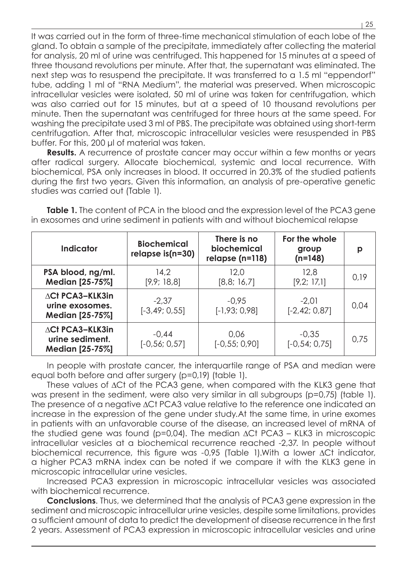It was carried out in the form of three-time mechanical stimulation of each lobe of the gland. To obtain a sample of the precipitate, immediately after collecting the material for analysis, 20 ml of urine was centrifuged. This happened for 15 minutes at a speed of three thousand revolutions per minute. After that, the supernatant was eliminated. The next step was to resuspend the precipitate. It was transferred to a 1.5 ml "eppendorf" tube, adding 1 ml of "RNA Medium", the material was preserved. When microscopic intracellular vesicles were isolated, 50 ml of urine was taken for centrifugation, which was also carried out for 15 minutes, but at a speed of 10 thousand revolutions per minute. Then the supernatant was centrifuged for three hours at the same speed. For washing the precipitate used 3 ml of PBS. The precipitate was obtained using short-term centrifugation. After that, microscopic intracellular vesicles were resuspended in PBS buffer. For this, 200 μl of material was taken.

**Results.** A recurrence of prostate cancer may occur within a few months or years after radical surgery. Allocate biochemical, systemic and local recurrence. With biochemical, PSA only increases in blood. It occurred in 20.3% of the studied patients during the first two years. Given this information, an analysis of pre-operative genetic studies was carried out (Table 1).

**Table 1.** The content of PCA in the blood and the expression level of the PCA3 gene in exosomes and urine sediment in patients with and without biochemical relapse

| <b>Indicator</b>                                      | <b>Biochemical</b><br>relapse $is(n=30)$ | There is no<br>biochemical<br>relapse (n=118) | For the whole<br>group<br>$(n=148)$ | p    |
|-------------------------------------------------------|------------------------------------------|-----------------------------------------------|-------------------------------------|------|
| PSA blood, ng/ml.<br>Median [25-75%]                  | 14.2<br>[9,9;18,8]                       | 12.0<br>[8,8; 16,7]                           | 12.8<br>[9,2; 17,1]                 | 0,19 |
| ∆Ct PCA3-KLK3in<br>urine exosomes.<br>Median [25-75%] | $-2,37$<br>$[-3,49; 0,55]$               | $-0.95$<br>$[-1,93; 0,98]$                    | $-2,01$<br>$[-2, 42; 0, 87]$        | 0,04 |
| ∆Ct PCA3-KLK3in<br>urine sediment.<br>Median [25-75%] | $-0,44$<br>$[-0, 56; 0, 57]$             | 0,06<br>$[-0, 55; 0, 90]$                     | $-0,35$<br>$[-0, 54; 0, 75]$        | 0,75 |

In people with prostate cancer, the interquartile range of PSA and median were equal both before and after surgery (p=0,19) (table 1).

These values of ∆Ct of the PCA3 gene, when compared with the KLK3 gene that was present in the sediment, were also very similar in all subgroups (p=0,75) (table 1). The presence of a negative ∆Ct PCA3 value relative to the reference one indicated an increase in the expression of the gene under study.At the same time, in urine exomes in patients with an unfavorable course of the disease, an increased level of mRNA of the studied gene was found (p=0,04). The median ∆Ct PCA3 – KLK3 in microscopic intracellular vesicles at a biochemical recurrence reached -2,37. In people without biochemical recurrence, this figure was -0,95 (Table 1).With a lower ∆Ct indicator, a higher PCA3 mRNA index can be noted if we compare it with the KLK3 gene in microscopic intracellular urine vesicles.

Increased PCA3 expression in microscopic intracellular vesicles was associated with biochemical recurrence.

**Conclusions**. Thus, we determined that the analysis of PCA3 gene expression in the sediment and microscopic intracellular urine vesicles, despite some limitations, provides a sufficient amount of data to predict the development of disease recurrence in the first 2 years. Assessment of PCA3 expression in microscopic intracellular vesicles and urine